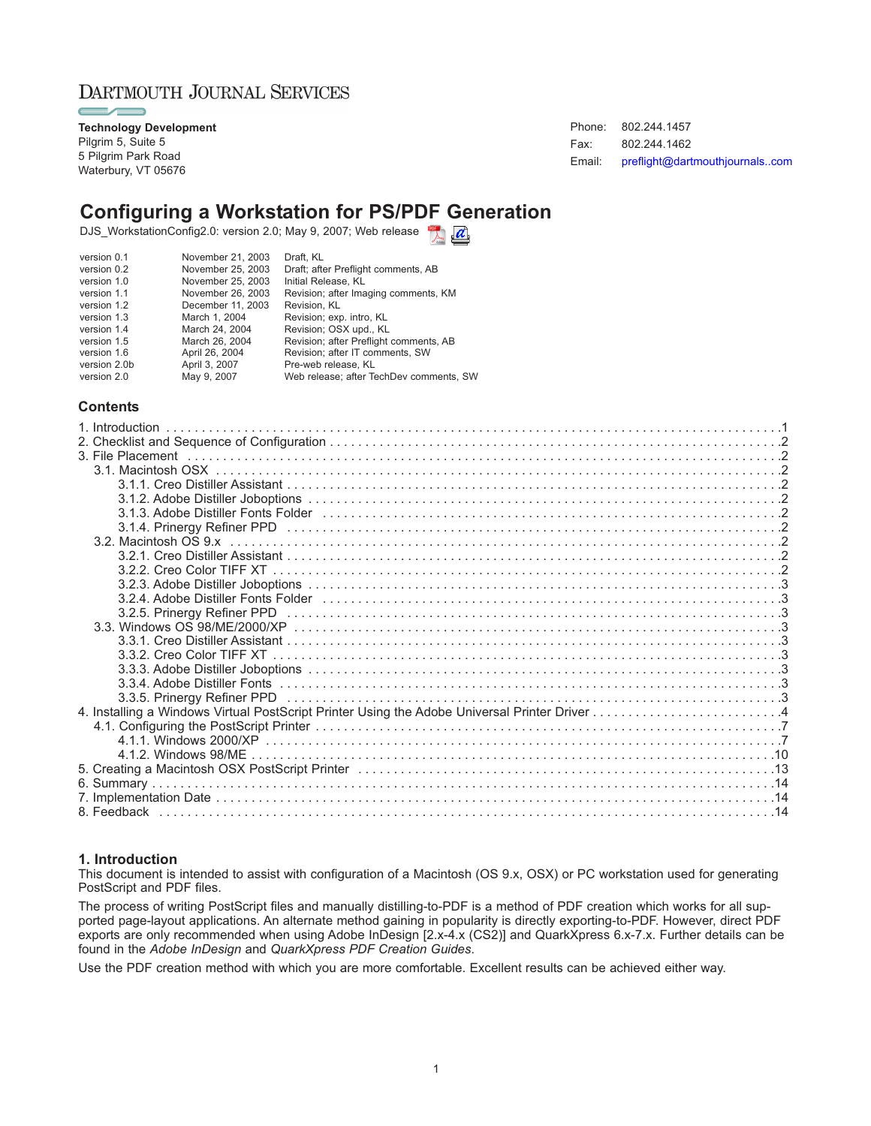### DARTMOUTH JOURNAL SERVICES

**Technology Development** Pilgrim 5, Suite 5 5 Pilgrim Park Road Waterbury, VT 05676

Phone: 802.244.1457 Fax: 802.244.1462 Email: [preflight@dartmouthjournals..com](mailto:preflight@dartmouthjournals.com)

## **Configuring a Workstation for PS/PDF Generation**

DJS\_WorkstationConfig2.0: version 2.0; May 9, 2007; Web release

| November 26, 2003<br>Revision; after Imaging comments, KM<br>version 1.1<br>December 11, 2003<br>Revision, KL<br>version 1.2<br>Revision; exp. intro, KL<br>March 1, 2004<br>version 1.3<br>March 24, 2004<br>Revision; OSX upd., KL<br>version 1.4<br>March 26, 2004<br>Revision; after Preflight comments, AB<br>version 1.5<br>Revision: after IT comments, SW<br>April 26, 2004<br>version 1.6<br>April 3, 2007<br>version 2.0b<br>Pre-web release. KL<br>May 9, 2007<br>Web release; after TechDev comments, SW<br>version 2.0 | Draft; after Preflight comments, AB |
|-------------------------------------------------------------------------------------------------------------------------------------------------------------------------------------------------------------------------------------------------------------------------------------------------------------------------------------------------------------------------------------------------------------------------------------------------------------------------------------------------------------------------------------|-------------------------------------|
|-------------------------------------------------------------------------------------------------------------------------------------------------------------------------------------------------------------------------------------------------------------------------------------------------------------------------------------------------------------------------------------------------------------------------------------------------------------------------------------------------------------------------------------|-------------------------------------|

### **Contents**

| 5. Creating a Macintosh OSX PostScript Printer (and accommodation of the control of the control of the control o |  |
|------------------------------------------------------------------------------------------------------------------|--|
|                                                                                                                  |  |
|                                                                                                                  |  |
|                                                                                                                  |  |

#### **1. Introduction**

This document is intended to assist with configuration of a Macintosh (OS 9.x, OSX) or PC workstation used for generating PostScript and PDF files.

The process of writing PostScript files and manually distilling-to-PDF is a method of PDF creation which works for all supported page-layout applications. An alternate method gaining in popularity is directly exporting-to-PDF. However, direct PDF exports are only recommended when using Adobe InDesign [2.x-4.x (CS2)] and QuarkXpress 6.x-7.x. Further details can be found in the *Adobe InDesign* and *QuarkXpress PDF Creation Guides*.

Use the PDF creation method with which you are more comfortable. Excellent results can be achieved either way.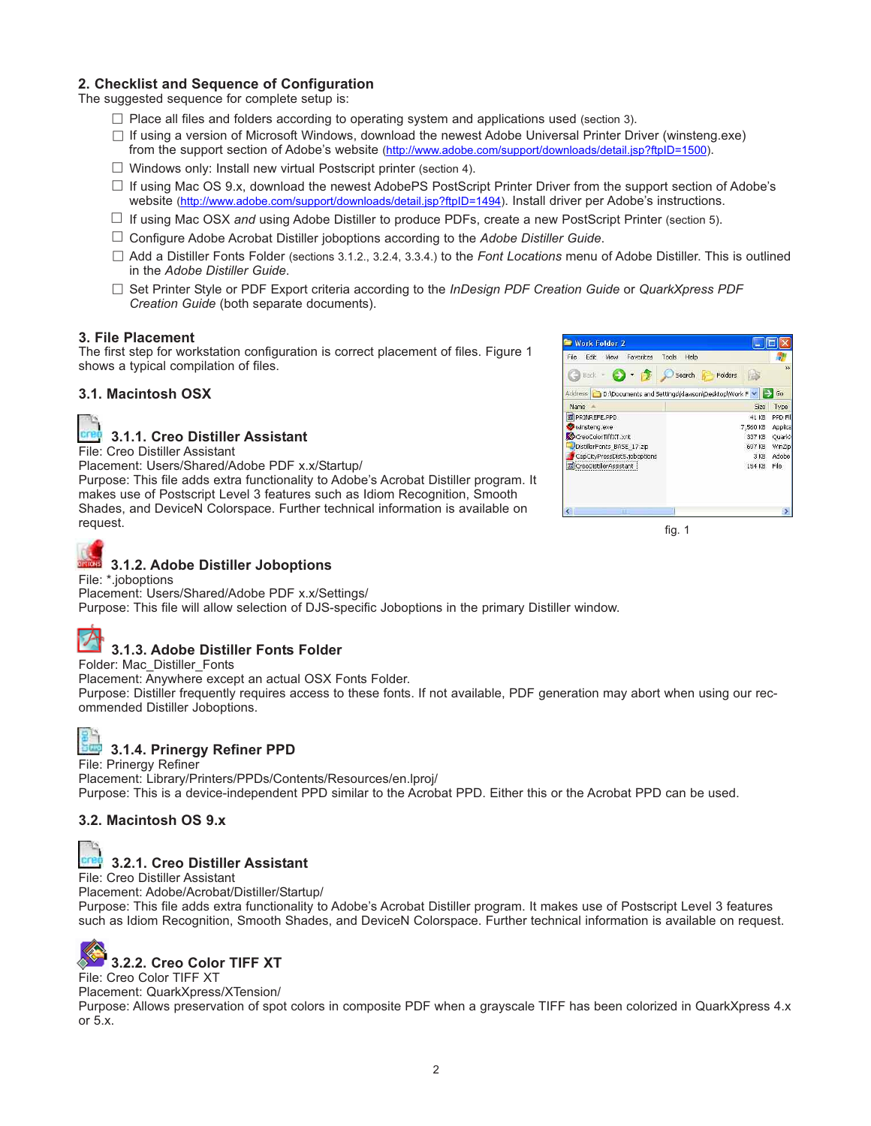### **2. Checklist and Sequence of Configuration**

The suggested sequence for complete setup is:

- $\Box$  Place all files and folders according to operating system and applications used (section 3).
- If using a version of Microsoft Windows, download the newest Adobe Universal Printer Driver (winsteng.exe) from the support section of Adobe's website (http://www.adobe.com/support/downloads/detail.jsp?ftpID=1500).
- $\Box$  Windows only: Install new virtual Postscript printer (section 4).
- $\Box$  If using Mac OS 9.x, download the newest AdobePS PostScript Printer Driver from the support section of Adobe's website (http://www.adobe.com/support/downloads/detail.jsp?ftpID=1494). Install driver per Adobe's instructions.
- If using Mac OSX *and* using Adobe Distiller to produce PDFs, create a new PostScript Printer (section 5).
- Configure Adobe Acrobat Distiller joboptions according to the *Adobe Distiller Guide*.
- Add a Distiller Fonts Folder (sections 3.1.2., 3.2.4, 3.3.4.) to the *Font Locations* menu of Adobe Distiller. This is outlined in the *Adobe Distiller Guide*.
- Set Printer Style or PDF Export criteria according to the *InDesign PDF Creation Guide* or *QuarkXpress PDF Creation Guide* (both separate documents).

#### **3. File Placement**

The first step for workstation configuration is correct placement of files. Figure 1 shows a typical compilation of files.

### **3.1. Macintosh OSX**



### **3.1.1. Creo Distiller Assistant**

File: Creo Distiller Assistant

Placement: Users/Shared/Adobe PDF x.x/Startup/

Purpose: This file adds extra functionality to Adobe's Acrobat Distiller program. It makes use of Postscript Level 3 features such as Idiom Recognition, Smooth Shades, and DeviceN Colorspace. Further technical information is available on request.



fig. 1

#### File: \*.joboptions Placement: Users/Shared/Adobe PDF x.x/Settings/

Purpose: This file will allow selection of DJS-specific Joboptions in the primary Distiller window.

### **3.1.3. Adobe Distiller Fonts Folder**

**3.1.2. Adobe Distiller Joboptions**

Folder: Mac\_Distiller\_Fonts

Placement: Anywhere except an actual OSX Fonts Folder.

Purpose: Distiller frequently requires access to these fonts. If not available, PDF generation may abort when using our recommended Distiller Joboptions.



### **3.1.4. Prinergy Refiner PPD**

File: Prinergy Refiner

Placement: Library/Printers/PPDs/Contents/Resources/en.lproj/ Purpose: This is a device-independent PPD similar to the Acrobat PPD. Either this or the Acrobat PPD can be used.

### **3.2. Macintosh OS 9.x**



### **3.2.1. Creo Distiller Assistant**

File: Creo Distiller Assistant

Placement: Adobe/Acrobat/Distiller/Startup/

Purpose: This file adds extra functionality to Adobe's Acrobat Distiller program. It makes use of Postscript Level 3 features such as Idiom Recognition, Smooth Shades, and DeviceN Colorspace. Further technical information is available on request.

## **3.2.2. Creo Color TIFF XT**

File: Creo Color TIFF XT

Placement: QuarkXpress/XTension/

Purpose: Allows preservation of spot colors in composite PDF when a grayscale TIFF has been colorized in QuarkXpress 4.x or 5.x.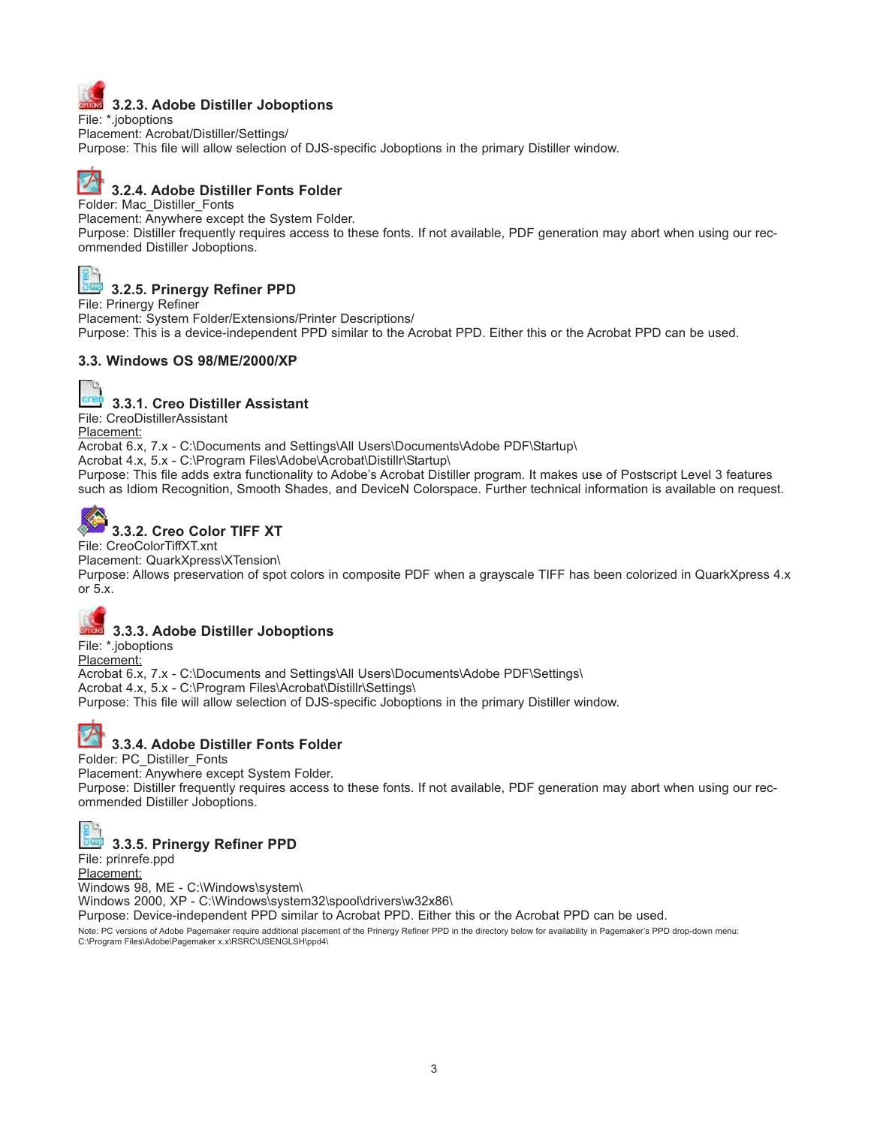

### **3.2.3. Adobe Distiller Joboptions**

File: \*.joboptions Placement: Acrobat/Distiller/Settings/ Purpose: This file will allow selection of DJS-specific Joboptions in the primary Distiller window.

# **3.2.4. Adobe Distiller Fonts Folder**

Folder: Mac\_Distiller\_Fonts

Placement: Anywhere except the System Folder.

Purpose: Distiller frequently requires access to these fonts. If not available, PDF generation may abort when using our recommended Distiller Joboptions.



**3.2.5. Prinergy Refiner PPD**

File: Prinergy Refiner Placement: System Folder/Extensions/Printer Descriptions/ Purpose: This is a device-independent PPD similar to the Acrobat PPD. Either this or the Acrobat PPD can be used.

### **3.3. Windows OS 98/ME/2000/XP**



**3.3.1. Creo Distiller Assistant**

File: CreoDistillerAssistant Placement:

Acrobat 6.x, 7.x - C:\Documents and Settings\All Users\Documents\Adobe PDF\Startup\

Acrobat 4.x, 5.x - C:\Program Files\Adobe\Acrobat\Distillr\Startup\

Purpose: This file adds extra functionality to Adobe's Acrobat Distiller program. It makes use of Postscript Level 3 features such as Idiom Recognition, Smooth Shades, and DeviceN Colorspace. Further technical information is available on request.

# **3.3.2. Creo Color TIFF XT**

File: CreoColorTiffXT.xnt

Placement: QuarkXpress\XTension\

Purpose: Allows preservation of spot colors in composite PDF when a grayscale TIFF has been colorized in QuarkXpress 4.x or 5.x.

# **3.3.3. Adobe Distiller Joboptions**

File: \*.joboptions Placement:

Acrobat 6.x, 7.x - C:\Documents and Settings\All Users\Documents\Adobe PDF\Settings\ Acrobat 4.x, 5.x - C:\Program Files\Acrobat\Distillr\Settings\ Purpose: This file will allow selection of DJS-specific Joboptions in the primary Distiller window.



### **3.3.4. Adobe Distiller Fonts Folder**

Folder: PC\_Distiller\_Fonts

Placement: Anywhere except System Folder.

Purpose: Distiller frequently requires access to these fonts. If not available, PDF generation may abort when using our recommended Distiller Joboptions.



### **3.3.5. Prinergy Refiner PPD**

File: prinrefe.ppd Placement:

Windows 98, ME - C:\Windows\system\

Windows 2000, XP - C:\Windows\system32\spool\drivers\w32x86\

Purpose: Device-independent PPD similar to Acrobat PPD. Either this or the Acrobat PPD can be used.

Note: PC versions of Adobe Pagemaker require additional placement of the Prinergy Refiner PPD in the directory below for availability in Pagemaker's PPD drop-down menu: C:\Program Files\Adobe\Pagemaker x.x\RSRC\USENGLSH\ppd4\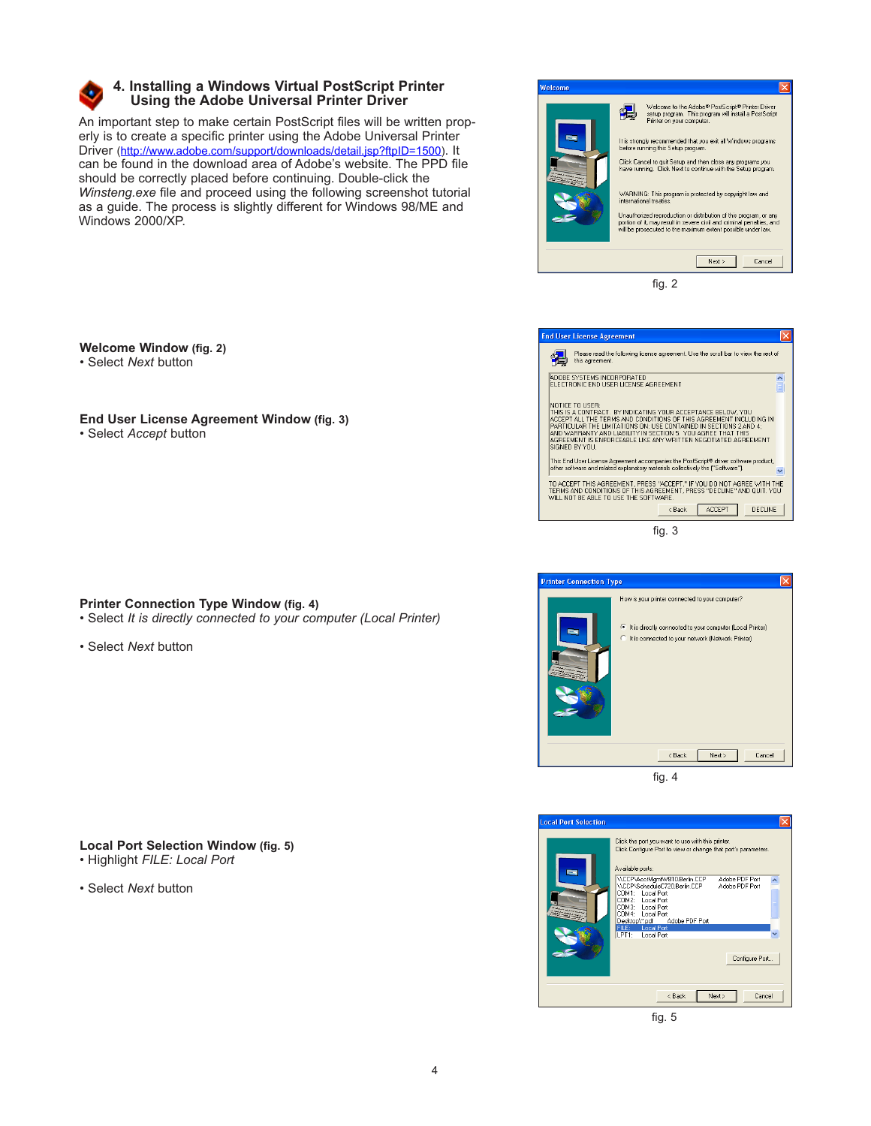

### **4. Installing a Windows Virtual PostScript Printer Using the Adobe Universal Printer Driver**

An important step to make certain PostScript files will be written properly is to create a specific printer using the Adobe Universal Printer Driver (http://www.adobe.com/support/downloads/detail.jsp?ftpID=1500). It can be found in the download area of Adobe's website. The PPD file should be correctly placed before continuing. Double-click the *Winsteng.exe* file and proceed using the following screenshot tutorial as a guide. The process is slightly different for Windows 98/ME and Windows 2000/XP.

| Welcome |                                                                                                                                                                                                                                                                                                                                                                                                                                                                   |
|---------|-------------------------------------------------------------------------------------------------------------------------------------------------------------------------------------------------------------------------------------------------------------------------------------------------------------------------------------------------------------------------------------------------------------------------------------------------------------------|
|         | Welcome to the Adobe® PostScript® Printer Driver<br>setup program. This program will install a PostScript<br>Printer on your computer.<br>It is strongly recommended that you exit all Windows programs<br>before running this Setup program.<br>Click Cancel to guit Setup and then close any programs you<br>have running. Click Next to continue with the Setup program.<br>WARNING: This program is protected by copyright law and<br>international treaties. |
|         | Unauthorized reproduction or distribution of this program, or any<br>portion of it, may result in severe civil and criminal penalties, and<br>will be prosecuted to the maximum extent possible under law.                                                                                                                                                                                                                                                        |
|         | Cancel<br>Next >                                                                                                                                                                                                                                                                                                                                                                                                                                                  |

fig. 2

**Welcome Window (fig. 2)** • Select *Next* button

**End User License Agreement Window (fig. 3)** • Select *Accept* button

|  | Printer Connection Type Window (fig. 4) |  |  |  |
|--|-----------------------------------------|--|--|--|
|  |                                         |  |  |  |

• Select *It is directly connected to your computer (Local Printer)*

• Select *Next* button

### **Local Port Selection Window (fig. 5)**

- Highlight *FILE: Local Port*
- Select *Next* button

| <b>End User License Agreement</b>                                                                                                                                                                                                                                                                                                                                                                                                                                                                                                                         |
|-----------------------------------------------------------------------------------------------------------------------------------------------------------------------------------------------------------------------------------------------------------------------------------------------------------------------------------------------------------------------------------------------------------------------------------------------------------------------------------------------------------------------------------------------------------|
| Please read the following license agreement. Use the scroll bar to view the rest of<br>this agreement.                                                                                                                                                                                                                                                                                                                                                                                                                                                    |
| ADOBE SYSTEMS INCORPORATED<br>$\frac{1}{2}$<br>FLECTRONIC END LISER LICENSE AGREEMENT                                                                                                                                                                                                                                                                                                                                                                                                                                                                     |
| NOTICE TO USER:<br>THIS IS A CONTRACT. BY INDICATING YOUR ACCEPTANCE BELOW. YOU<br>ACCEPT ALL THE TERMS AND CONDITIONS OF THIS AGREEMENT INCLUDING IN<br>PARTICULAR THE LIMITATIONS ON: USE CONTAINED IN SECTIONS 2 AND 4:<br>AND WARRANTY AND LIABILITY IN SECTION 5. YOU AGREE THAT THIS<br>AGREEMENT IS ENFORCEABLE LIKE ANY WRITTEN NEGOTIATED AGREEMENT<br>SIGNED BY YOU.<br>This End User License Agreement accompanies the PostScript® driver software product,<br>other software and related explanatory materials collectively the f"Software"). |
| TO ACCEPT THIS AGREEMENT, PRESS "ACCEPT," IF YOU DO NOT AGREE WITH THE<br>TERMS AND CONDITIONS OF THIS AGREEMENT, PRESS "DECLINE" AND QUIT, YOU<br>WILL NOT BE ABLE TO USE THE SOFTWARE.<br><b>ACCEPT</b><br><b>DECLINE</b><br>< Rack                                                                                                                                                                                                                                                                                                                     |
| fia.                                                                                                                                                                                                                                                                                                                                                                                                                                                                                                                                                      |





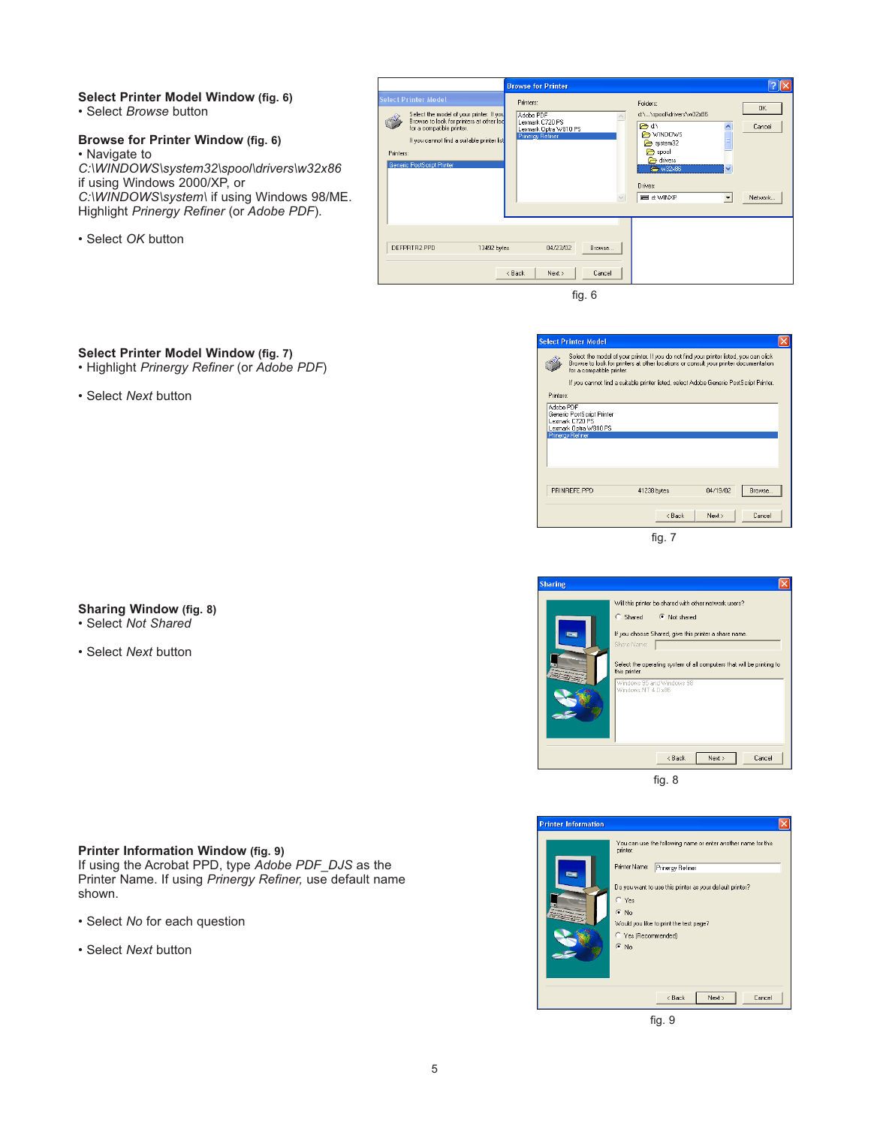#### **Select Printer Model Window (fig. 6)** • Select *Browse* button

### **Browse for Printer Window (fig. 6)**

• Navigate to *C:\WINDOWS\system32\spool\drivers\w32x86* if using Windows 2000/XP, or *C:\WINDOWS\system\* if using Windows 98/ME. Highlight *Prinergy Refiner* (or *Adobe PDF*).

• Select *OK* button



fig. 6

### **Select Printer Model Window (fig. 7)**

- Highlight *Prinergy Refiner* (or *Adobe PDF*)
- Select *Next* button

### **Sharing Window (fig. 8)**

- 
- Select *Next* button

### • Select *Not Shared*

### **Printer Information Window (fig. 9)**

If using the Acrobat PPD, type *Adobe PDF\_DJS* as the Printer Name. If using *Prinergy Refiner,* use default name shown.

- Select *No* for each question
- Select *Next* button

|           | <b>Select Printer Model</b>                                                                       |                                                                                                                                                                                 |          |        |
|-----------|---------------------------------------------------------------------------------------------------|---------------------------------------------------------------------------------------------------------------------------------------------------------------------------------|----------|--------|
|           | for a compatible printer.                                                                         | Select the model of your printer. If you do not find your printer listed, you can click<br>Browse to look for printers at other locations or consult your printer documentation |          |        |
|           |                                                                                                   | If you cannot find a suitable printer listed, select Adobe Generic PostScript Printer.                                                                                          |          |        |
| Printers: |                                                                                                   |                                                                                                                                                                                 |          |        |
|           | Generic PostScript Printer<br>Lexmark C720 PS<br>Lexmark Optra W810 PS<br><b>Prinergy Refiner</b> |                                                                                                                                                                                 |          |        |
|           | PRINREFE PPD                                                                                      | 41238 bytes                                                                                                                                                                     | 04/19/02 | Browse |
|           |                                                                                                   | < Back                                                                                                                                                                          | Next >   | Cancel |







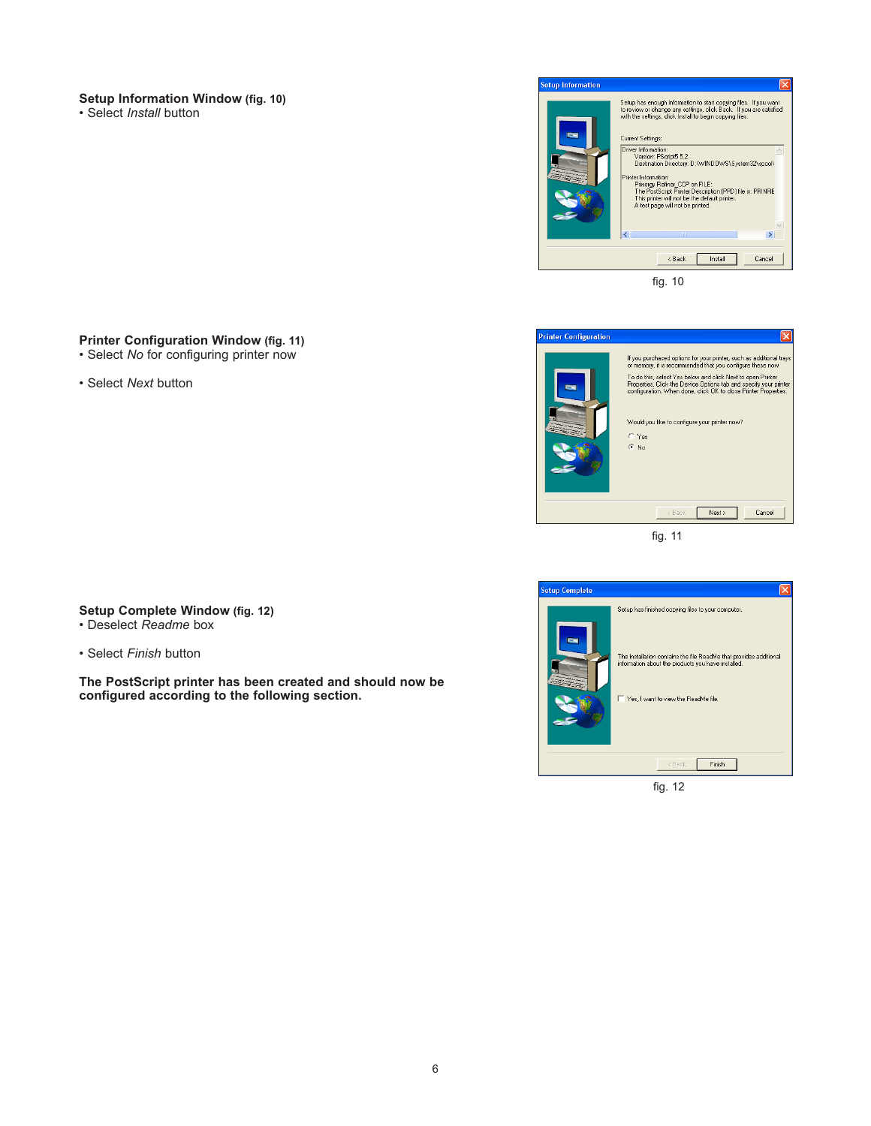### **Setup Information Window (fig. 10)**

• Select *Install* button

| <b>Setup Information</b> |                                                                                                                                                                                                                                                                                                                                                                                                                                                                                                                                         |
|--------------------------|-----------------------------------------------------------------------------------------------------------------------------------------------------------------------------------------------------------------------------------------------------------------------------------------------------------------------------------------------------------------------------------------------------------------------------------------------------------------------------------------------------------------------------------------|
|                          | Setup has enough information to start copying files. If you want<br>to review or change any settings, click Back. If you are satisfied<br>with the settings, click Install to begin copying files.<br>Current Settings:<br>Driver Information:<br>Version: PScript5 5.2<br>Destination Directory: D:\\WINDOWS\System32\spool\<br>Printer Information:<br>Prinergy Refiner CCP on FILE:<br>The PostScript Printer Description (PPD) file is: PRINRE<br>This printer will not be the default printer.<br>A test page will not be printed. |
|                          | m                                                                                                                                                                                                                                                                                                                                                                                                                                                                                                                                       |
|                          | < Back<br>Cancel<br>Install                                                                                                                                                                                                                                                                                                                                                                                                                                                                                                             |

fig. 10

### **Printer Configuration Window (fig. 11)**

- Select *No* for configuring printer now
- Select *Next* button



fig. 11



**Setup Complete Window (fig. 12)** • Deselect *Readme* box

• Select *Finish* button

**The PostScript printer has been created and should now be configured according to the following section.**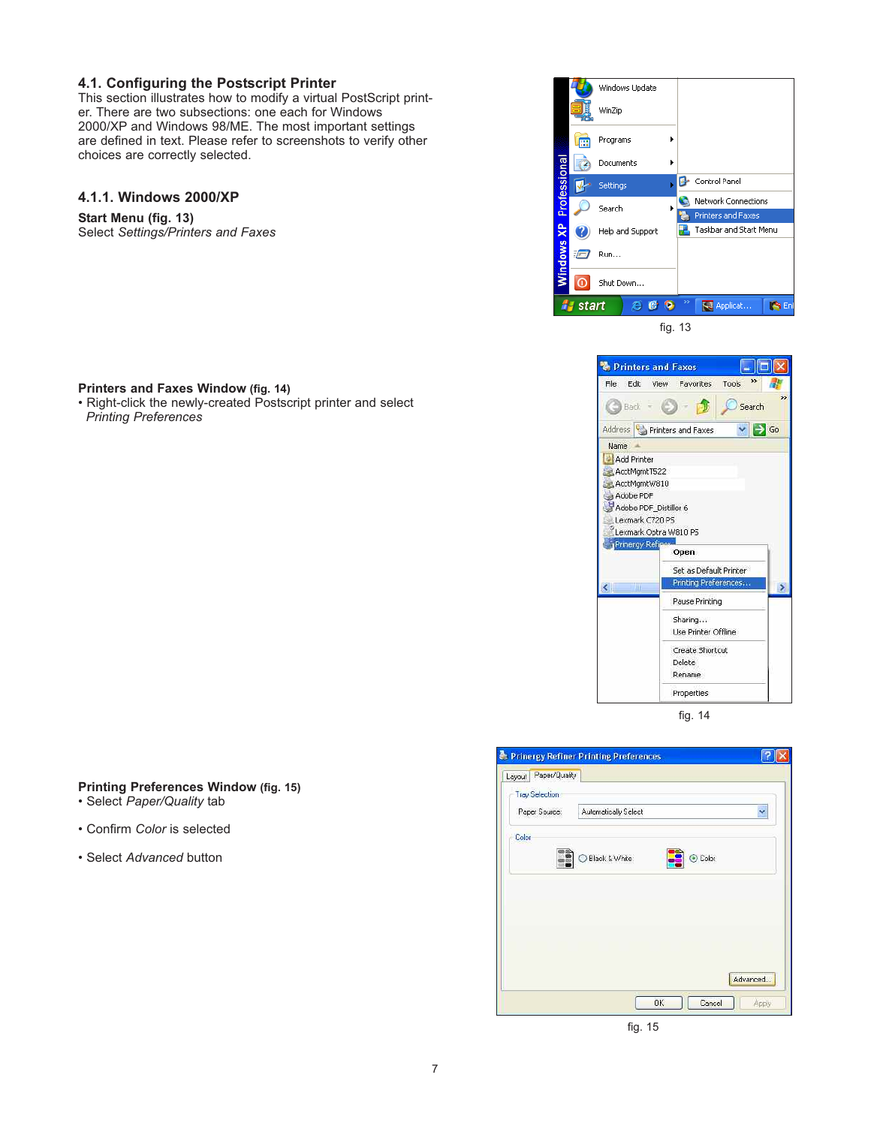### **4.1. Configuring the Postscript Printer**

This section illustrates how to modify a virtual PostScript printer. There are two subsections: one each for Windows 2000/XP and Windows 98/ME. The most important settings are defined in text. Please refer to screenshots to verify other choices are correctly selected.

### **4.1.1. Windows 2000/XP**

**Start Menu (fig. 13)** Select *Settings/Printers and Faxes*



• Right-click the newly-created Postscript printer and select *Printing Preferences*





fig. 14

### **Printing Preferences Window (fig. 15)**

- Select *Paper/Quality* tab
- Confirm *Color* is selected
- Select *Advanced* button

|                         | Prinergy Refiner Printing Preferences |          |
|-------------------------|---------------------------------------|----------|
| Paper/Quality<br>Layout |                                       |          |
| <b>Tray Selection</b>   |                                       |          |
| Paper Source:           | Automatically Select                  | Ÿ        |
| Color                   |                                       |          |
| I.                      | Black & White                         | ⊙ Color  |
|                         |                                       |          |
|                         |                                       |          |
|                         |                                       |          |
|                         |                                       |          |
|                         |                                       |          |
|                         |                                       |          |
|                         |                                       | Advanced |
|                         |                                       |          |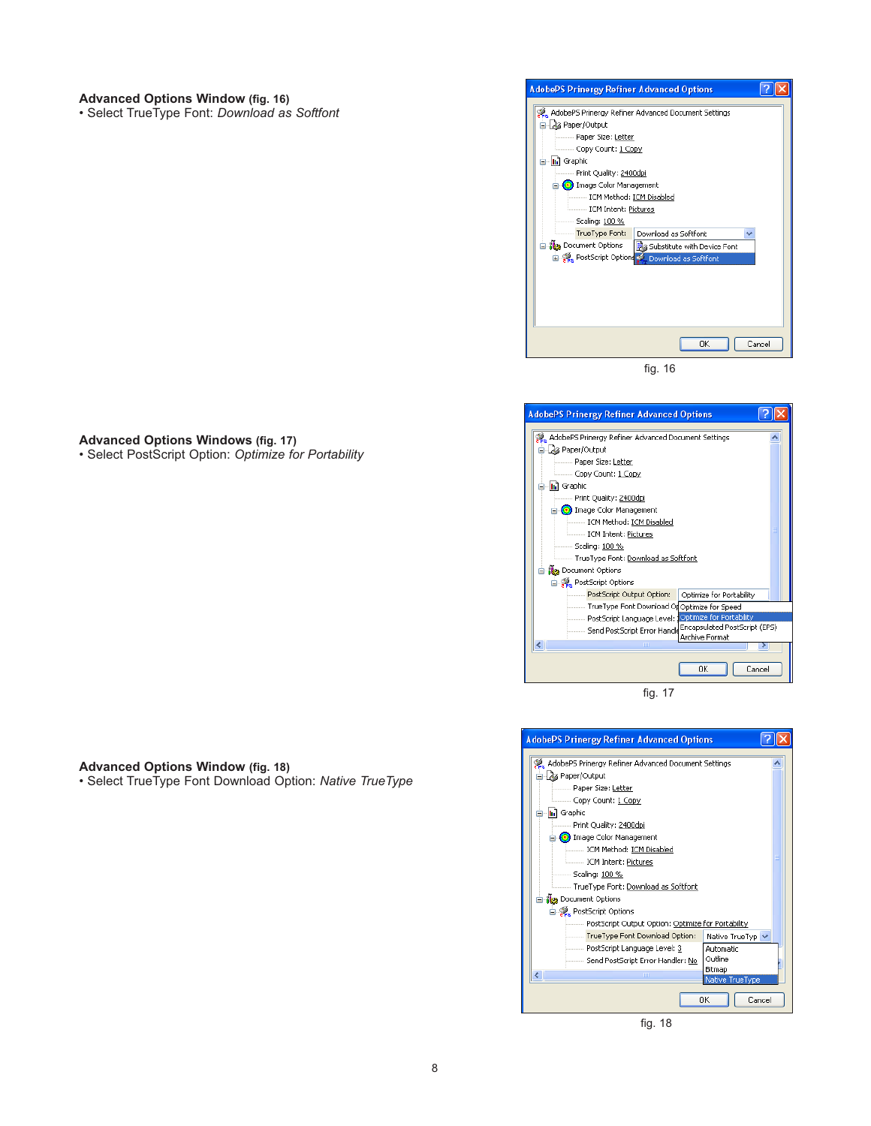#### **Advanced Options Window (fig. 16)** • Select TrueType Font: *Download as Softfont*



fig. 16



fig. 17



**Advanced Options Windows (fig. 17)**

• Select PostScript Option: *Optimize for Portability*

**Advanced Options Window (fig. 18)**

• Select TrueType Font Download Option: *Native TrueType*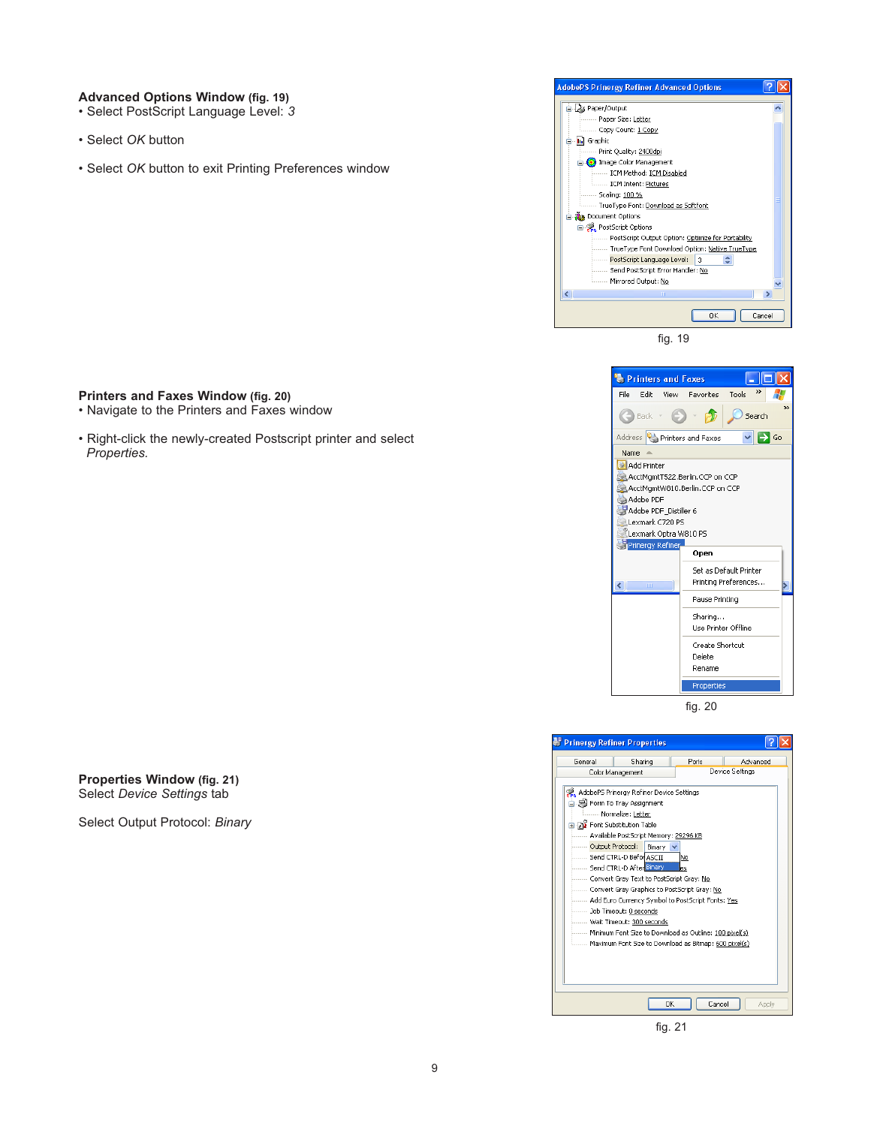#### **Advanced Options Window (fig. 19)**

- Select PostScript Language Level: *3*
- Select *OK* button
- Select *OK* button to exit Printing Preferences window



fig. 19





fig. 21

### **Printers and Faxes Window (fig. 20)**

- Navigate to the Printers and Faxes window
- Right-click the newly-created Postscript printer and select *Properties.*

**Properties Window (fig. 21)** Select *Device Settings* tab

Select Output Protocol: *Binary*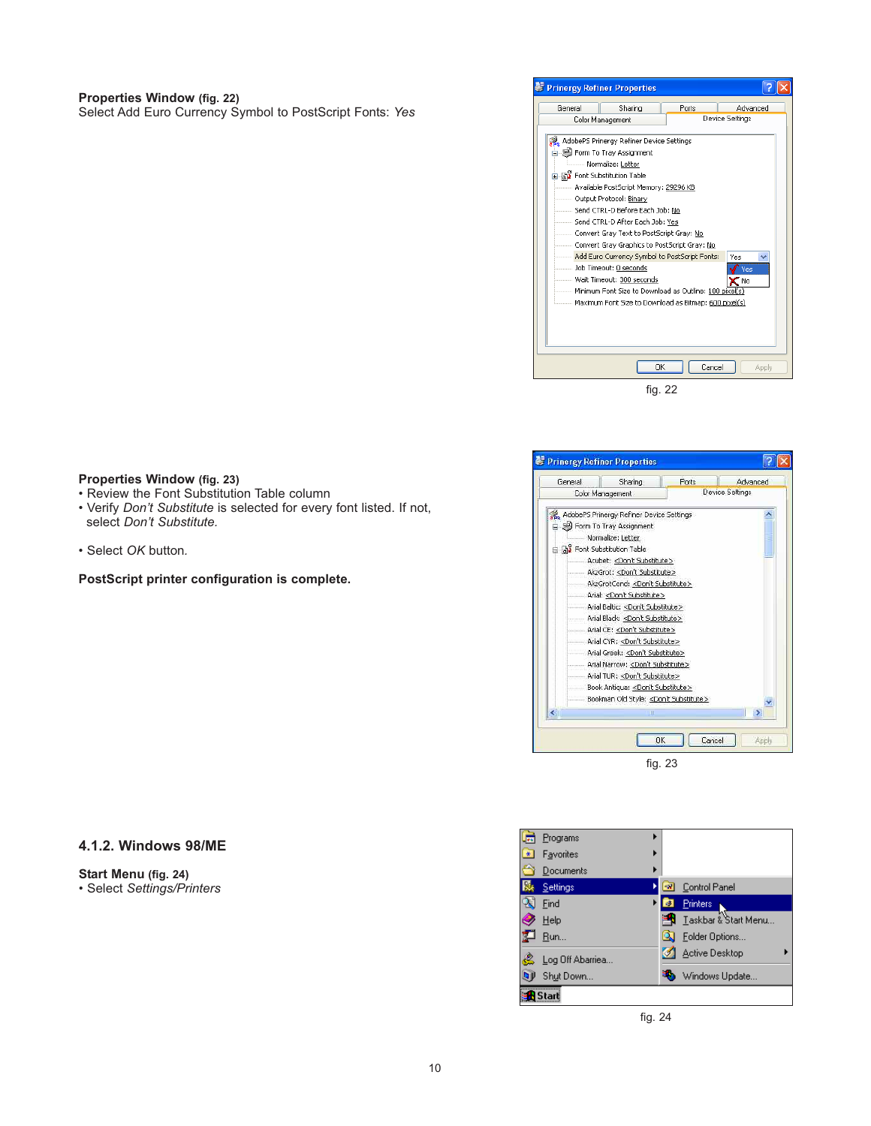#### **Properties Window (fig. 22)**

Select Add Euro Currency Symbol to PostScript Fonts: *Yes*



| General | Sharing                                     | Ports  | Advanced        |
|---------|---------------------------------------------|--------|-----------------|
|         | Color Management                            |        | Device Settings |
|         | AdobePS Prinergy Refiner Device Settings    |        |                 |
|         | Form To Tray Assignment                     |        |                 |
|         | Normalize: Letter                           |        |                 |
|         | a av Font Substitution Table                |        |                 |
|         | Acubet: <don't substitute=""></don't>       |        |                 |
|         | AkzGrot: <don't substitute=""></don't>      |        |                 |
|         | AkzGrotCond: <don't substitute=""></don't>  |        |                 |
|         | Arial: <don't substitute=""></don't>        |        |                 |
|         | Arial Baltic: <don't substitute=""></don't> |        |                 |
|         | Arial Black: < Don't Substitute>            |        |                 |
|         | Arial CE: < Don't Substitute>               |        |                 |
|         | Arial CYR: <don't substitute=""></don't>    |        |                 |
|         | Arial Greek: <don't substitute=""></don't>  |        |                 |
|         | Arial Narrow: <don't substitute=""></don't> |        |                 |
|         | Arial TUR: < Don't Substitute>              |        |                 |
|         | Book Antiqua: < Don't Substitute>           |        |                 |
|         | Bookman Old Style: < Don't Substitute>      |        |                 |
|         | Ш                                           |        | ×               |
|         | OK                                          | Cancel | Apply           |

#### **Properties Window (fig. 23)**

- Review the Font Substitution Table column
- Verify *Don't Substitute* is selected for every font listed. If not, select *Don't Substitute.*
- Select *OK* button*.*

**PostScript printer configuration is complete.**

### **4.1.2. Windows 98/ME**

**Start Menu (fig. 24)** • Select *Settings/Printers*

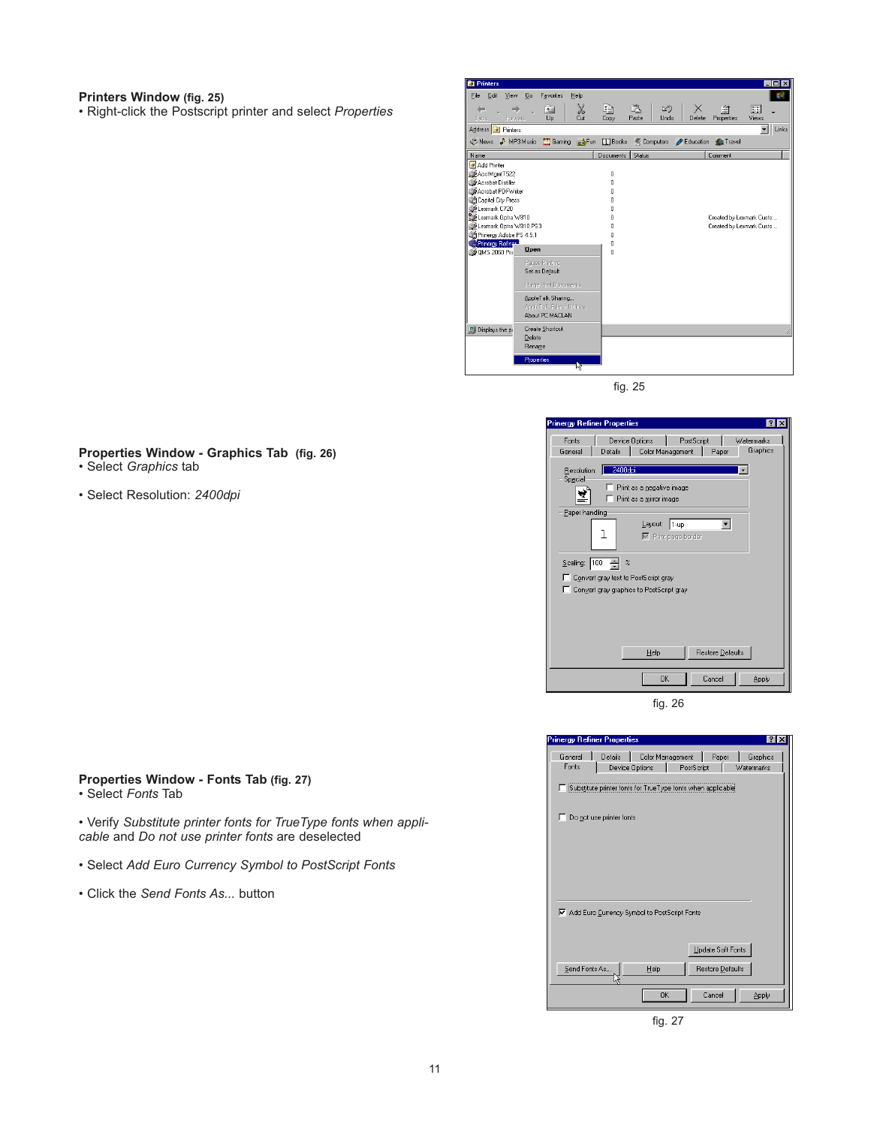#### **Printers Window (fig. 25)**

• Right-click the Postscript printer and select *Properties*



fig. 25

#### .<br>Inergy Refiner Properties  $\overline{R}$ Fonts | Device Options | PostScript | Watermarks General | Details | Color Management | Paper Graphics Resolution: <mark>2400dpi<br>Special</mark>  $\overline{\phantom{a}}$  $\Box$  Print as a negative image ⊻ै  $\Gamma$  Print as a mirror image Paper handling  $\ensuremath{\mathsf{L}}$ ayout:  $\sqrt{1-\mathrm{up}}$  $\overline{\phantom{0}}$  $\mathbf 1$  $\boxed{\triangleright}$  Print page border Scaling:  $\boxed{100 - 2} \approx$ Convert gray text to PostScript gray Convert gray graphics to PostScript gray  $He$  $\sf{Reslore}\,\underline{\sf{Defaults}}$  $\overline{\alpha}$  $\label{eq:cancel} \text{Cancel}$ Apply fig. 26

| <b>Prinergy Refiner Properties</b> |                           |                                                             |            |                   | $ ?  \times$           |
|------------------------------------|---------------------------|-------------------------------------------------------------|------------|-------------------|------------------------|
| General<br>Fonts                   | Details<br>Device Options | Color Management                                            | PostScript | Paper             | Graphics<br>Watermarks |
|                                    |                           | Substitute printer fonts for TrueType fonts when applicable |            |                   |                        |
|                                    | Do not use printer fonts  |                                                             |            |                   |                        |
|                                    |                           |                                                             |            |                   |                        |
|                                    |                           |                                                             |            |                   |                        |
|                                    |                           |                                                             |            |                   |                        |
|                                    |                           | Add Euro Currency Symbol to PostScript Fonts                |            |                   |                        |
|                                    |                           |                                                             |            | Update Soft Fonts |                        |
| Send Fonts As.                     |                           | Help                                                        |            | Restore Defaults  |                        |
|                                    |                           | <b>OK</b>                                                   |            | Cancel            | Apply                  |

fig. 27

#### **Properties Window - Graphics Tab (fig. 26)** • Select *Graphics* tab

- 
- Select Resolution: *2400dpi*

### **Properties Window - Fonts Tab (fig. 27)**

• Select *Fonts* Tab

• Verify *Substitute printer fonts for TrueType fonts when applicable* and *Do not use printer fonts* are deselected

- Select *Add Euro Currency Symbol to PostScript Fonts*
- Click the *Send Fonts As...* button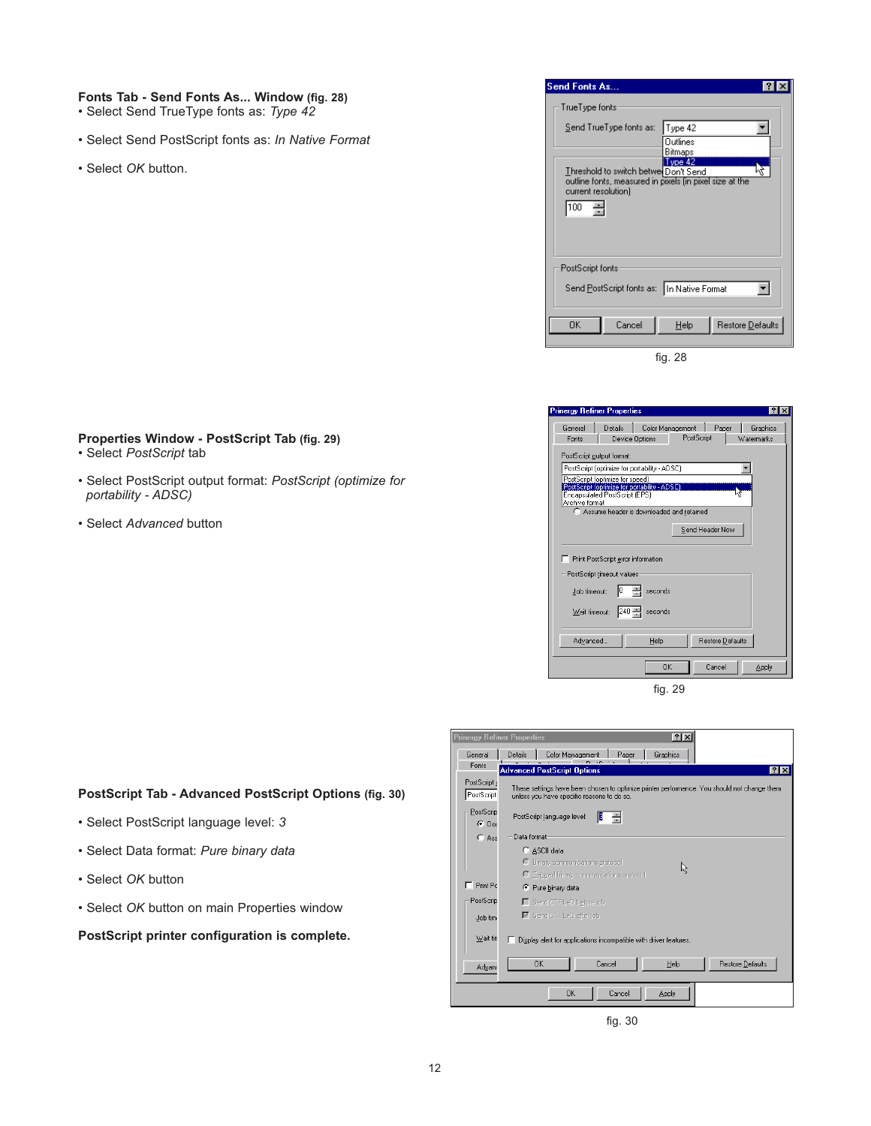#### **Fonts Tab - Send Fonts As... Window (fig. 28)**

- Select Send TrueType fonts as: *Type 42*
- Select Send PostScript fonts as: *In Native Format*
- Select *OK* button.

| <b>Send Fonts As</b>                                                                                                                |                          |
|-------------------------------------------------------------------------------------------------------------------------------------|--------------------------|
| TrueType fonts                                                                                                                      |                          |
| Send TrueType fonts as:                                                                                                             | Type 42<br>Outlines      |
| Threshold to switch betwer Don't Send<br>outline fonts, measured in pixels (in pixel size at the<br>current resolution)<br>乌<br>100 | Bitmaps<br>$T$ ype 42    |
| PostScript fonts<br>Send PostScript fonts as: In Native Format                                                                      |                          |
| Cancel<br>OΚ                                                                                                                        | Restore Defaults<br>Help |

fig. 28

| General        | <b>Details</b>                                                                       |                                            | Color Management                            | Paper            | Graphics   |
|----------------|--------------------------------------------------------------------------------------|--------------------------------------------|---------------------------------------------|------------------|------------|
| Fonts          |                                                                                      | Device Options                             | PostScript                                  |                  | Watermarks |
|                |                                                                                      |                                            |                                             |                  |            |
|                | PostScript output format:                                                            |                                            |                                             |                  |            |
|                | PostScript (optimize for portability - ADSC)                                         |                                            |                                             |                  |            |
|                | PostScript [optimize for speed]                                                      |                                            |                                             |                  |            |
|                | PostScript [optimize for portability - ADSC]<br><b>Encapsulated PostScript (EPS)</b> |                                            |                                             |                  |            |
| Archive format |                                                                                      |                                            |                                             |                  |            |
|                |                                                                                      |                                            | C. Assume header is downloaded and retained |                  |            |
|                |                                                                                      |                                            |                                             | Send Header Now  |            |
|                |                                                                                      |                                            |                                             |                  |            |
|                |                                                                                      |                                            |                                             |                  |            |
|                |                                                                                      |                                            |                                             |                  |            |
|                | Print PostScript error information                                                   |                                            |                                             |                  |            |
|                | PostScript timeout values                                                            |                                            |                                             |                  |            |
|                |                                                                                      |                                            |                                             |                  |            |
| Job timeout:   |                                                                                      | seconds                                    |                                             |                  |            |
|                |                                                                                      |                                            |                                             |                  |            |
| Wait timeout:  |                                                                                      | $\left  240 - \frac{1}{2} \right $ seconds |                                             |                  |            |
|                |                                                                                      |                                            |                                             |                  |            |
| Advanced       |                                                                                      | Help                                       |                                             | Restore Defaults |            |
|                |                                                                                      |                                            |                                             |                  |            |
|                |                                                                                      |                                            | OK                                          | Cancel           | Apply      |

fig. 29



fig. 30

### **Properties Window - PostScript Tab (fig. 29)**

- Select *PostScript* tab
- Select PostScript output format: *PostScript (optimize for portability - ADSC)*
- Select *Advanced* button

### **PostScript Tab - Advanced PostScript Options (fig. 30)**

- Select PostScript language level: *3*
- Select Data format: *Pure binary data*
- Select *OK* button
- Select *OK* button on main Properties window

### **PostScript printer configuration is complete.**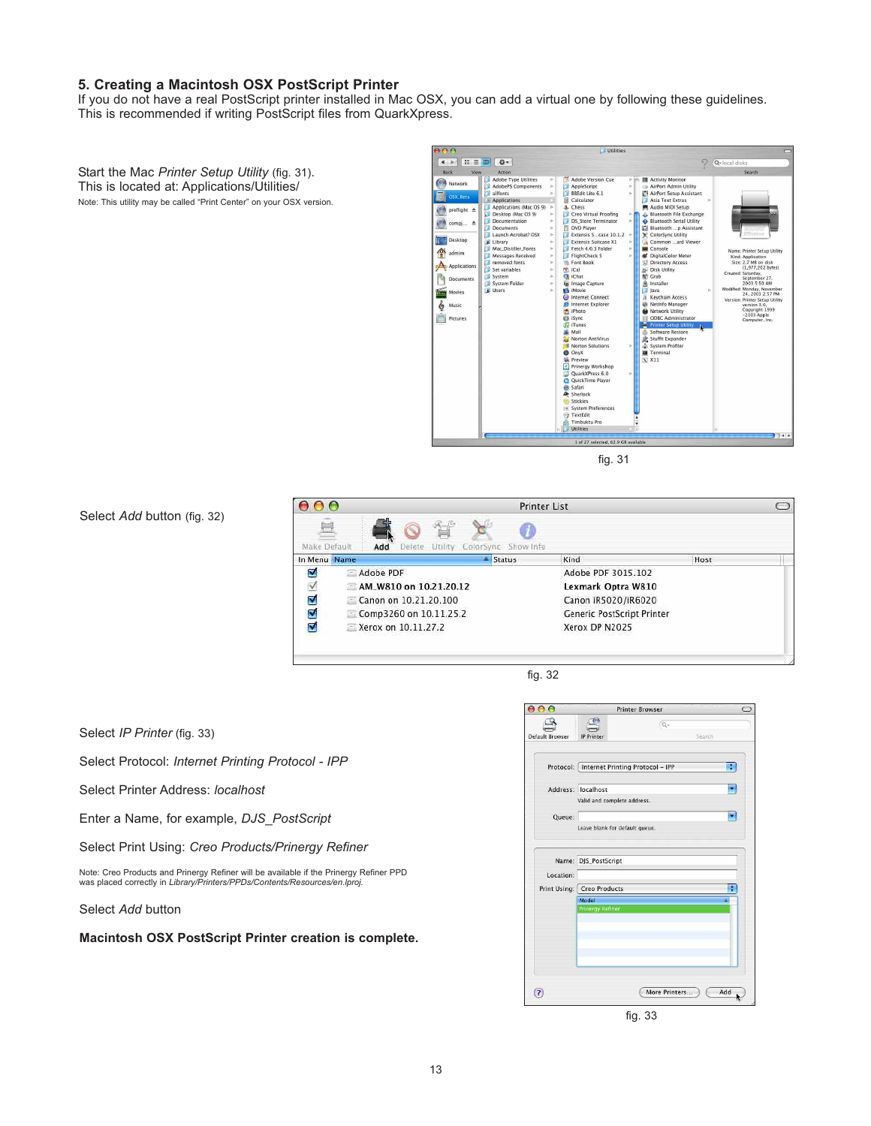#### **5. Creating a Macintosh OSX PostScript Printer**

If you do not have a real PostScript printer installed in Mac OSX, you can add a virtual one by following these guidelines. This is recommended if writing PostScript files from QuarkXpress.

-- 1: ■ 第  $\circ$  $\overline{Q+|c|}$ Start the Mac *Printer Setup Utility* (fig. 31). Back Action<br>Adobe Type Utilities<br>AdobePS Components Network This is located at: Applications/Utilities/ AppleScript<br>BBEdit Lite 6.1 allfonts<br>Applications  $\mathbb{R}$  osx  $\mathbf{B}$ Note: This utility may be called "Print Center" on your OSX version. Applications<br>
Applications (Mac OS 9)<br>
Desktop (Mac OS 9)<br>
Documents  $\bigcirc$  preflight  $\left( \begin{array}{ccc} 0 & 1 \\ 0 & 1 \end{array} \right)$  compj... Launch Acrobat? OSX **Calcular Acrobat?** OSJ<br>
Ubrary<br>
Mac, Distiller, Fonts<br>
Messages Received<br>
The moved fonts<br>
Set variables<br>
System<br>
Distribution<br>
System<br>
Distribution<br>
Cultusers **Desktop** admin  $\Delta$  Application Created Documents Movies Version  $Pictures$ Software Restore<br>
Stufflt Expander<br>
System Profiler<br>
Terminal<br>
X X11 **C.** Timbuktu Pro<br>Utilities  $1 of 27 s$ 

fig. 31

Utilities

2.7 MB on disk<br>(1,977,202 bytes)

Saturday,<br>September 27,<br>2003 5:50 AM 2003 5:50 AM<br>Monday, November<br>24, 2003 2:57 PM<br>Printer Setup Utility<br>version 3.0,<br>Copyright 1999<br>2003 Apple<br>Computer, Inc.

Select *Add* button (fig. 32)

Select *Add* button